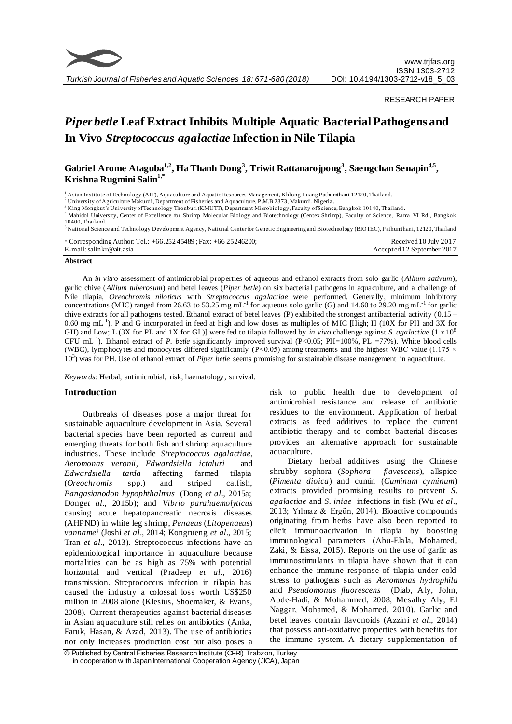

*Turkish Journal of Fisheries and Aquatic Sciences 18: 671-680 (2018)*

RESEARCH PAPER

# *Piper betle* **Leaf Extract Inhibits Multiple Aquatic Bacterial Pathogens and In Vivo** *Streptococcus agalactiae* **Infection in Nile Tilapia**

# **Gabriel Arome Ataguba1,2 , Ha Thanh Dong<sup>3</sup> , Triwit Rattanarojpong<sup>3</sup> , Saengchan Senapin4,5 , Krishna Rugmini Salin1,\***

<sup>1</sup> Asian Institute of Technology (AIT), Aquaculture and Aquatic Resources Management, Khlong Luang Pathumthani 12120, Thailand.

<sup>2</sup>University of Agriculture Makurdi, Department of Fisheries and Aquaculture, P.M.B 2373, Makurdi, Nigeria.

<sup>3</sup> King Mongkut's University of Technology Thonburi (KMUTT), Department Microbiology, Faculty of Science, Bangkok 10140, Thailand.

<sup>4</sup> Mahidol University, Center of Excellence for Shrimp Molecular Biology and Biotechnology (Centex Shrimp), Faculty of Science, Rama VI Rd., Bangkok, 10400, Thailand.

<sup>5</sup> National Science and Technology Development Agency, National Center for Genetic Engineering and Biotechnology (BIOTEC), Pathumthani, 12120, Thailand.

| * Corresponding Author: Tel.: $+66.25245489$ ; Fax: $+66.25246200$ ; | Received 10 July 2017      |
|----------------------------------------------------------------------|----------------------------|
| E-mail: salinkr@ait.asia                                             | Accepted 12 September 2017 |
|                                                                      |                            |

#### **Abstract**

An *in vitro* assessment of antimicrobial properties of aqueous and ethanol extracts from solo garlic (*Allium sativum*), garlic chive (*Allium tuberosum*) and betel leaves (*Piper betle*) on six bacterial pathogens in aquaculture, and a challenge of Nile tilapia, *Oreochromis niloticus* with *Streptococcus agalactiae* were performed. Generally, minimum inhibitory concentrations (MIC) ranged from 26.63 to 53.25 mg mL<sup>-1</sup> for aqueous solo garlic (G) and 14.60 to 29.20 mg mL<sup>-1</sup> for garlic chive extracts for all pathogens tested. Ethanol extract of betel leaves (P) exhibited the strongest antibacterial activity (0.15 – 0.60 mg mL<sup>-1</sup>). P and G incorporated in feed at high and low doses as multiples of MIC [High; H (10X for PH and 3X for GH) and Low; L (3X for PL and 1X for GL)] were fed to tilapia followed by *in vivo* challenge against *S. agalactiae* (1 x 10<sup>8</sup> CFU mL<sup>-1</sup>). Ethanol extract of *P. betle* significantly improved survival (P<0.05; PH=100%, PL =77%). White blood cells (WBC), lymphocytes and monocytes differed significantly (P<0.05) among treatments and the highest WBC value (1.175  $\times$ 10<sup>3</sup> ) was for PH. Use of ethanol extract of *Piper betle* seems promising for sustainable disease management in aquaculture.

*Keywords*: Herbal, antimicrobial, risk, haematology, survival.

# **Introduction**

Outbreaks of diseases pose a major threat for sustainable aquaculture development in Asia. Several bacterial species have been reported as current and emerging threats for both fish and shrimp aquaculture industries. These include *Streptococcus agalactiae, Aeromonas veronii, Edwardsiella ictaluri* and *Edwardsiella tarda* affecting farmed tilapia (*Oreochromis* spp.) and striped catfish, *Pangasianodon hypophthalmus* (Dong *et al*[., 2015a](#page-8-0); Dong*et al*[., 2015b](#page-8-1)); and *Vibrio parahaemolyticus* causing acute hepatopancreatic necrosis diseases (AHPND) in white leg shrimp, *Penaeus* (*Litopenaeus*) *vannamei* (Joshi *et al*[., 2014;](#page-8-2) [Kongrueng](#page-8-3) *et al*., 2015; Tran *et al*[., 2013\)](#page-8-4). Streptococcus infections have an epidemiological importance in aquaculture because mortalities can be as high as 75% with potential horizontal and vertical [\(Pradeep](#page-8-5) *et al*., 2016) transmission. Streptococcus infection in tilapia has caused the industry a colossal loss worth US\$250 million in 2008 alone [\(Klesius, Shoemaker, & Evans,](#page-8-6)  [2008\).](#page-8-6) Current therapeutics against bacterial diseases in Asian aquaculture still relies on antibiotics [\(Anka,](#page-7-0)  [Faruk, Hasan, & Azad, 2013\)](#page-7-0). The use of antibiotics not only increases production cost but also poses a risk to public health due to development of antimicrobial resistance and release of antibiotic residues to the environment. Application of herbal extracts as feed additives to replace the current antibiotic therapy and to combat bacterial diseases provides an alternative approach for sustainable aquaculture.

Dietary herbal additives using the Chinese shrubby sophora (*Sophora flavescens*), allspice (*Pimenta dioica*) and cumin (*Cuminum cyminum*) extracts provided promising results to prevent *S. agalactiae* and *S. iniae* infections in fish [\(Wu](#page-9-0) *et al*., [2013;](#page-9-0) [Yılmaz & Ergün, 2014\)](#page-9-1). Bioactive compounds originating from herbs have also been reported to elicit immunoactivation in tilapia by boosting immunological parameters [\(Abu-Elala, Mohamed,](#page-7-1)  [Zaki, & Eissa, 2015\)](#page-7-1). Reports on the use of garlic as immunostimulants in tilapia have shown that it can enhance the immune response of tilapia under cold stress to pathogens such as *Aeromonas hydrophila*  and *Pseudomonas fluorescens* [\(Diab, Aly, John,](#page-8-7)  [Abde-Hadi, & Mohammed, 2008;](#page-8-7) [Mesalhy Aly, El](#page-8-8)  [Naggar, Mohamed, & Mohamed, 2010\)](#page-8-8). Garlic and betel leaves contain flavonoids [\(Azzini](#page-7-2) *et al*., 2014) that possess anti-oxidative properties with benefits for the immune system. A dietary supplementation of

<sup>©</sup> Published by Central Fisheries Research Institute (CFRI) Trabzon, Turkey in cooperation w ith Japan International Cooperation Agency (JICA), Japan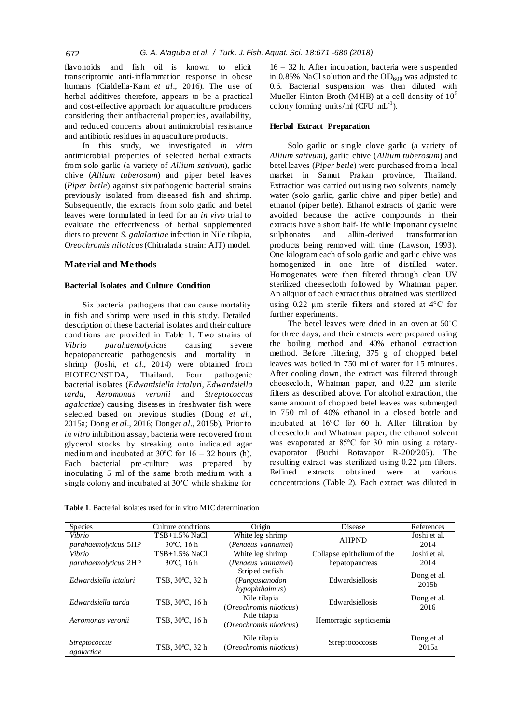flavonoids and fish oil is known to elicit transcriptomic anti-inflammation response in obese humans [\(Cialdella-Kam](#page-7-3) *et al*., 2016). The use of herbal additives therefore, appears to be a practical and cost-effective approach for aquaculture producers considering their antibacterial properties, availability, and reduced concerns about antimicrobial resistance and antibiotic residues in aquaculture products.

In this study, we investigated *in vitro* antimicrobial properties of selected herbal extracts from solo garlic (a variety of *Allium sativum*), garlic chive (*Allium tuberosum*) and piper betel leaves (*Piper betle*) against six pathogenic bacterial strains previously isolated from diseased fish and shrimp. Subsequently, the extracts from solo garlic and betel leaves were formulated in feed for an *in vivo* trial to evaluate the effectiveness of herbal supplemented diets to prevent *S. galalactiae* infection in Nile tilapia, *Oreochromis niloticus*(Chitralada strain: AIT) model.

# **Material and Methods**

#### **Bacterial Isolates and Culture Condition**

Six bacterial pathogens that can cause mortality in fish and shrimp were used in this study. Detailed description of these bacterial isolates and their culture conditions are provided in Table 1. Two strains of *Vibrio parahaemolyticus* causing severe hepatopancreatic pathogenesis and mortality in shrimp (Joshi, *et al*., 2014) were obtained from BIOTEC/NSTDA, Thailand. Four pathogenic bacterial isolates (*Edwardsiella ictaluri, Edwardsiella tarda, Aeromonas veronii* and *Streptococcus agalactiae*) causing diseases in freshwater fish were selected based on previous studies [\(Dong](#page-8-0) *et al*., [2015a](#page-8-0); Dong *et al*[., 2016;](#page-8-9) Dong*et al*[., 2015b](#page-8-1)). Prior to *in vitro* inhibition assay, bacteria were recovered from glycerol stocks by streaking onto indicated agar medium and incubated at  $30^{\circ}$ C for  $16 - 32$  hours (h). Each bacterial pre -culture was prepared by inoculating 5 ml of the same broth medium with a single colony and incubated at 30ºC while shaking for

16 – 32 h. After incubation, bacteria were suspended in 0.85% NaCl solution and the  $OD<sub>600</sub>$  was adjusted to 0.6. Bacterial suspension was then diluted with Mueller Hinton Broth (MHB) at a cell density of  $10<sup>6</sup>$ colony forming units/ml (CFU  $mL^{-1}$ ).

# **Herbal Extract Preparation**

Solo garlic or single clove garlic (a variety of *Allium sativum*), garlic chive (*Allium tuberosum*) and betel leaves (*Piper betle*) were purchased from a local market in Samut Prakan province, Thailand. Extraction was carried out using two solvents, namely water (solo garlic, garlic chive and piper betle) and ethanol (piper betle). Ethanol extracts of garlic were avoided because the active compounds in their extracts have a short half-life while important cysteine sulphonates and alliin-derived transformation products being removed with time (Lawson, 1993). One kilogram each of solo garlic and garlic chive was homogenized in one litre of distilled water. Homogenates were then filtered through clean UV sterilized cheesecloth followed by Whatman paper. An aliquot of each extract thus obtained was sterilized using 0.22 μm sterile filters and stored at 4°C for further experiments.

The betel leaves were dried in an oven at  $50^{\circ}$ C for three days, and their extracts were prepared using the boiling method and 40% ethanol extraction method. Before filtering, 375 g of chopped betel leaves was boiled in 750 ml of water for 15 minutes. After cooling down, the extract was filtered through cheesecloth, Whatman paper, and 0.22 µm sterile filters as described above. For alcohol extraction, the same amount of chopped betel leaves was submerged in 750 ml of 40% ethanol in a closed bottle and incubated at 16°C for 60 h. After filtration by cheesecloth and Whatman paper, the ethanol solvent was evaporated at 85°C for 30 min using a rotaryevaporator (Buchi Rotavapor R-200/205). The resulting extract was sterilized using 0.22 µm filters. Refined extracts obtained were at various concentrations (Table 2). Each extract was diluted in

**Table 1**. Bacterial isolates used for in vitro MIC determination

| <b>Species</b>                     | Culture conditions   | Origin                                              | Disease                    | References                       |
|------------------------------------|----------------------|-----------------------------------------------------|----------------------------|----------------------------------|
| Vibrio                             | TSB+1.5% NaCl,       | White leg shrimp                                    | <b>AHPND</b>               | Joshi et al.                     |
| <i>parahaemolyticus</i> 5HP        | $30^{\circ}$ C, 16 h | (Penaeus vannamei)                                  |                            | 2014                             |
| Vibrio                             | $TSB+1.5\%$ NaCl.    | White leg shrimp                                    | Collapse epithelium of the | Joshi et al.                     |
| <i>parahaemolyticus</i> 2HP        | $30^{\circ}$ C, 16 h | (Penaeus vannamei)                                  | hepatopancreas             | 2014                             |
| Edwardsiella ictaluri              | TSB, 30°C, 32 h      | Striped catfish<br>(Pangasianodon<br>hypophthalmus) | Edwardsiellosis            | Dong et al.<br>2015 <sub>b</sub> |
| Edwardsiella tarda                 | TSB, 30°C, 16 h      | Nile tilapia<br>(Oreochromis niloticus)             | Edwardsiellosis            | Dong et al.<br>2016              |
| Aeromonas veronii                  | TSB, 30°C, 16 h      | Nile tilapia<br>(Oreochromis niloticus)             | Hemorragic septicsemia     |                                  |
| <i>Streptococcus</i><br>agalactiae | TSB, 30°C, 32 h      | Nile tilapia<br>(Oreochromis niloticus)             | Streptococcosis            | Dong et al.<br>2015a             |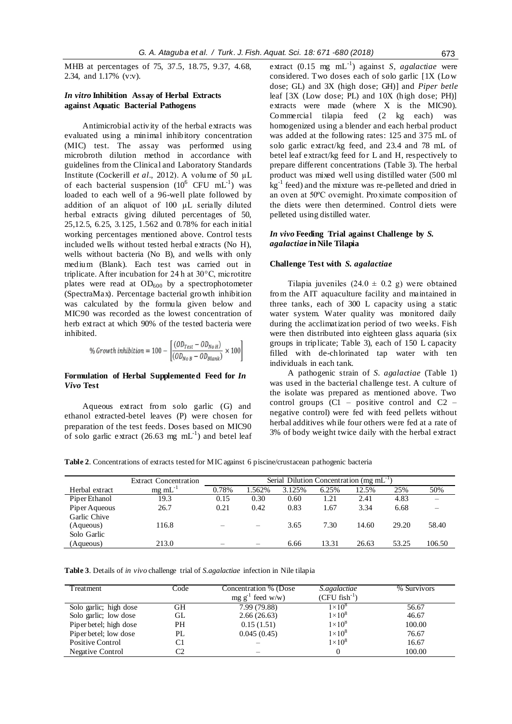MHB at percentages of 75, 37.5, 18.75, 9.37, 4.68, 2.34, and 1.17% (v:v).

# *In vitro* **Inhibition Assay of Herbal Extracts against Aquatic Bacterial Pathogens**

Antimicrobial activity of the herbal extracts was evaluated using a minimal inhibitory concentration (MIC) test. The assay was performed using microbroth dilution method in accordance with guidelines from the Clinical and Laboratory Standards Institute [\(Cockerill](#page-7-4) *et al*., 2012). A volume of 50 µL of each bacterial suspension  $(10^6 \text{ CFU } mL^{-1})$  was loaded to each well of a 96-well plate followed by addition of an aliquot of 100 µL serially diluted herbal extracts giving diluted percentages of 50, 25,12.5, 6.25, 3.125, 1.562 and 0.78% for each initial working percentages mentioned above. Control tests included wells without tested herbal extracts (No H), wells without bacteria (No B), and wells with only medium (Blank). Each test was carried out in triplicate. After incubation for 24 h at 30°C, microtitre plates were read at  $OD_{600}$  by a spectrophotometer (SpectraMax). Percentage bacterial growth inhibition was calculated by the formula given below and MIC90 was recorded as the lowest concentration of herb extract at which 90% of the tested bacteria were inhibited.

% Growth inhibition = 100 - 
$$
\frac{(OD_{Test} - OD_{NoH})}{(OD_{NoB} - OD_{Blank})} \times 100
$$

# **Formulation of Herbal Supplemented Feed for** *In Vivo* **Test**

Aqueous extract from solo garlic (G) and ethanol extracted-betel leaves (P) were chosen for preparation of the test feeds. Doses based on MIC90 of solo garlic extract (26.63 mg  $mL^{-1}$ ) and betel leaf extract (0.15 mg mL<sup>-1</sup>) against *S*, *agalactiae* were considered. Two doses each of solo garlic [1X (Low dose; GL) and 3X (high dose; GH)] and *Piper betle* leaf [3X (Low dose; PL) and 10X (high dose; PH)] extracts were made (where X is the MIC90). Commercial tilapia feed (2 kg each) was homogenized using a blender and each herbal product was added at the following rates: 125 and 375 mL of solo garlic extract/kg feed, and 23.4 and 78 mL of betel leaf extract/kg feed for L and H, respectively to prepare different concentrations (Table 3). The herbal product was mixed well using distilled water (500 ml kg<sup>-1</sup> feed) and the mixture was re-pelleted and dried in an oven at 50ºC overnight. Proximate composition of the diets were then determined. Control diets were pelleted using distilled water.

# *In vivo* **Feeding Trial against Challenge by** *S. agalactiae* **in Nile Tilapia**

#### **Challenge Test with** *S. agalactiae*

Tilapia juveniles  $(24.0 \pm 0.2 \text{ g})$  were obtained from the AIT aquaculture facility and maintained in three tanks, each of 300 L capacity using a static water system. Water quality was monitored daily during the acclimatization period of two weeks. Fish were then distributed into eighteen glass aquaria (six groups in triplicate; Table 3), each of 150 L capacity filled with de-chlorinated tap water with ten individuals in each tank.

A pathogenic strain of *S. agalactiae* (Table 1) was used in the bacterial challenge test. A culture of the isolate was prepared as mentioned above. Two control groups  $(C1 -$  positive control and  $C2$ negative control) were fed with feed pellets without herbal additives while four others were fed at a rate of 3% of body weight twice daily with the herbal extract

**Table 2**. Concentrations of extracts tested for MIC against 6 piscine/crustacean pathogenic bacteria

|                                          | <b>Extract Concentration</b> | Serial Dilution Concentration (mg $mL^{-1}$ ) |        |        |       |       |       |        |
|------------------------------------------|------------------------------|-----------------------------------------------|--------|--------|-------|-------|-------|--------|
| Herbal extract                           | $mg \text{ mL}^{-1}$         | 0.78%                                         | 1.562% | 3.125% | 6.25% | 12.5% | 25%   | 50%    |
| Piper Ethanol                            | 19.3                         | 0.15                                          | 0.30   | 0.60   | 1.21  | 2.41  | 4.83  |        |
| Piper Aqueous                            | 26.7                         | 0.21                                          | 0.42   | 0.83   | 1.67  | 3.34  | 6.68  |        |
| Garlic Chive<br>(Aqueous)<br>Solo Garlic | 116.8                        |                                               |        | 3.65   | 7.30  | 14.60 | 29.20 | 58.40  |
| (Aqueous)                                | 213.0                        |                                               |        | 6.66   | 13.31 | 26.63 | 53.25 | 106.50 |

**Table 3**. Details of *in vivo* challenge trial of *S.agalactiae* infection in Nile tilapia

| Treatment              | Code | Concentration % (Dose<br>$mg g^{-1}$ feed w/w) | S.agalactiae<br>$(CFU$ fish <sup>-1</sup> ) | % Survivors |
|------------------------|------|------------------------------------------------|---------------------------------------------|-------------|
| Solo garlic; high dose | GН   | 7.99 (79.88)                                   | $1\times10^8$                               | 56.67       |
| Solo garlic; low dose  | GL   | 2.66(26.63)                                    | $1\times10^8$                               | 46.67       |
| Piper betel; high dose | PH   | 0.15(1.51)                                     | $1\times10^8$                               | 100.00      |
| Piper betel; low dose  | PL   | 0.045(0.45)                                    | $1\times10^8$                               | 76.67       |
| Positive Control       | C1   |                                                | $1\times10^8$                               | 16.67       |
| Negative Control       | C2   |                                                | $\Omega$                                    | 100.00      |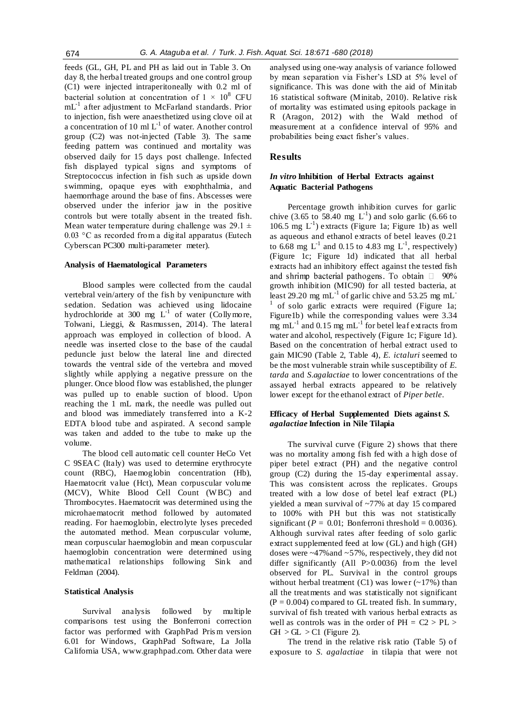feeds (GL, GH, PL and PH as laid out in Table 3. On day 8, the herbal treated groups and one control group (C1) were injected intraperitoneally with 0.2 ml of bacterial solution at concentration of  $1 \times 10^8$  CFU mL<sup>-1</sup> after adjustment to McFarland standards. Prior to injection, fish were anaesthetized using clove oil at a concentration of 10 ml  $L^{-1}$  of water. Another control group (C2) was not-injected (Table 3). The same feeding pattern was continued and mortality was observed daily for 15 days post challenge. Infected fish displayed typical signs and symptoms of Streptococcus infection in fish such as upside down swimming, opaque eyes with exophthalmia, and haemorrhage around the base of fins. Abscesses were observed under the inferior jaw in the positive controls but were totally absent in the treated fish. Mean water temperature during challenge was  $29.1 \pm$ 0.03 °C as recorded from a digital apparatus (Eutech Cyberscan PC300 multi-parameter meter).

#### **Analysis of Haematological Parameters**

Blood samples were collected from the caudal vertebral vein/artery of the fish by venipuncture with sedation. Sedation was achieved using lidocaine hydrochloride at 300 mg  $L^{-1}$  of water (Collymore, [Tolwani, Lieggi, & Rasmussen, 2014\)](#page-8-10). The lateral approach was employed in collection of blood. A needle was inserted close to the base of the caudal peduncle just below the lateral line and directed towards the ventral side of the vertebra and moved slightly while applying a negative pressure on the plunger. Once blood flow was established, the plunger was pulled up to enable suction of blood. Upon reaching the 1 mL mark, the needle was pulled out and blood was immediately transferred into a K-2 EDTA blood tube and aspirated. A second sample was taken and added to the tube to make up the volume.

The blood cell automatic cell counter HeCo Vet C 9SEAC (Italy) was used to determine erythrocyte count (RBC), Haemoglobin concentration (Hb), Haematocrit value (Hct), Mean corpuscular volume (MCV), White Blood Cell Count (W BC) and Thrombocytes. Haematocrit was determined using the microhaematocrit method followed by automated reading. For haemoglobin, electrolyte lyses preceded the automated method. Mean corpuscular volume, mean corpuscular haemoglobin and mean corpuscular haemoglobin concentration were determined using mathematical relationships following [Sink and](#page-8-11)  [Feldman \(2004\).](#page-8-11)

### **Statistical Analysis**

Survival analysis followed by multiple comparisons test using the Bonferroni correction factor was performed with GraphPad Pris m version 6.01 for Windows, GraphPad Software, La Jolla California USA, [www.graphpad.com.](http://www.graphpad.com/) Other data were

analysed using one-way analysis of variance followed by mean separation via Fisher's LSD at 5% level of significance. This was done with the aid of Minitab 16 statistical software [\(Minitab, 2010\)](#page-8-12). Relative risk of mortality was estimated using epitools package in R [\(Aragon, 2012\)](#page-7-5) with the Wald method of measurement at a confidence interval of 95% and probabilities being exact fisher's values.

# **Results**

# *In vitro* **Inhibition of Herbal Extracts against Aquatic Bacterial Pathogens**

Percentage growth inhibition curves for garlic chive (3.65 to 58.40 mg  $L^{-1}$ ) and solo garlic (6.66 to 106.5 mg  $L^{-1}$ ) extracts (Figure 1a; Figure 1b) as well as aqueous and ethanol extracts of betel leaves (0.21 to 6.68 mg  $L^{-1}$  and 0.15 to 4.83 mg  $L^{-1}$ , respectively) (Figure 1c; Figure 1d) indicated that all herbal extracts had an inhibitory effect against the tested fish and shrimp bacterial pathogens. To obtain  $\Box$  90% growth inhibition (MIC90) for all tested bacteria, at least 29.20 mg mL<sup>-1</sup> of garlic chive and 53.25 mg mL<sup>-1</sup> 1 of solo garlic extracts were required (Figure 1a; Figure1b) while the corresponding values were 3.34 mg mL<sup>-1</sup> and 0.15 mg mL<sup>-1</sup> for betel leaf extracts from water and alcohol, respectively (Figure 1c; Figure 1d). Based on the concentration of herbal extract used to gain MIC90 (Table 2, Table 4), *E. ictaluri* seemed to be the most vulnerable strain while susceptibility of *E. tarda* and *S.agalactiae* to lower concentrations of the assayed herbal extracts appeared to be relatively lower except for the ethanol extract of *Piper betle*.

# **Efficacy of Herbal Supplemented Diets against** *S. agalactiae* **Infection in Nile Tilapia**

The survival curve (Figure 2) shows that there was no mortality among fish fed with a high dose of piper betel extract (PH) and the negative control group (C2) during the 15-day experimental assay. This was consistent across the replicates. Groups treated with a low dose of betel leaf extract (PL) yielded a mean survival of ~77% at day 15 compared to 100% with PH but this was not statistically significant ( $P = 0.01$ ; Bonferroni threshold = 0.0036). Although survival rates after feeding of solo garlic extract supplemented feed at low (GL) and high (GH) doses were ~47%and ~57%, respectively, they did not differ significantly (All P>0.0036) from the level observed for PL. Survival in the control groups without herbal treatment  $(C1)$  was lower  $($  -17% $)$  than all the treatments and was statistically not significant  $(P = 0.004)$  compared to GL treated fish. In summary, survival of fish treated with various herbal extracts as well as controls was in the order of  $PH = C2 > PL$  $GH > GL > C1$  (Figure 2).

The trend in the relative risk ratio (Table 5) of exposure to *S. agalactiae* in tilapia that were not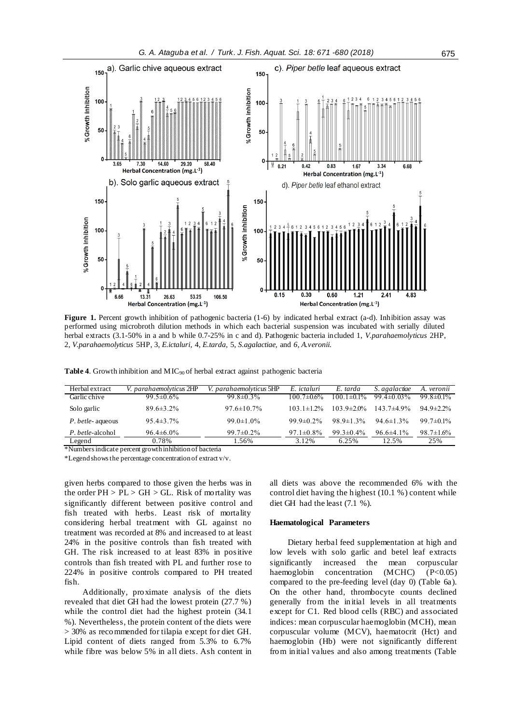

**Figure 1.** Percent growth inhibition of pathogenic bacteria (1-6) by indicated herbal extract (a-d). Inhibition assay was performed using microbroth dilution methods in which each bacterial suspension was incubated with serially diluted herbal extracts (3.1-50% in a and b while 0.7-25% in c and d). Pathogenic bacteria included 1, *V.parahaemolyticus* 2HP, 2, *V.parahaemolyticus* 5HP, 3, *E.ictaluri*, 4, *E.tarda,* 5, *S.agalactiae,* and *6, A.veronii.*

| Table 4. Growth inhibition and $MIC90$ of herbal extract against pathogenic bacteria |  |
|--------------------------------------------------------------------------------------|--|
|--------------------------------------------------------------------------------------|--|

| Herbal extract           | V. parahaemolyticus 2HP | V. parahaemolyticus 5HP | E. ictaluri       | E. tarda          | S. agalactiae    | A. veronii       |
|--------------------------|-------------------------|-------------------------|-------------------|-------------------|------------------|------------------|
| Garlic chive             | $99.5 \pm 0.6\%$        | $99.8 \pm 0.3\%$        | $100.7 \pm 0.6\%$ | $100.1 \pm 0.1\%$ | 99.4 $\pm$ 0.03% | $99.8 \pm 0.1\%$ |
| Solo garlic              | $89.6 \pm 3.2\%$        | $97.6 \pm 10.7\%$       | $103.1 \pm 1.2\%$ | $103.9 \pm 2.0\%$ | $143.7\pm4.9\%$  | $94.9 \pm 2.2\%$ |
| <i>P. betle-</i> aqueous | $95.4 \pm 3.7\%$        | $99.0 \pm 1.0\%$        | 99.9 $\pm$ 0.2%   | $98.9 \pm 1.3\%$  | $94.6 \pm 1.3\%$ | 99.7 $\pm$ 0.1%  |
| P. betle-alcohol         | $96.4\pm 6.0\%$         | $99.7 \pm 0.2\%$        | $97.1 \pm 0.8\%$  | 99.3 $\pm$ 0.4%   | $96.6\pm4.1\%$   | $98.7 \pm 1.6\%$ |
| Legend                   | 0.78%                   | .56%                    | 3.12%             | 6.25%             | 12.5%            | 25%              |

\*Numbers indicate percent growth inhibition of bacteria

\*Legend shows the percentage concentration of extract v/v.

given herbs compared to those given the herbs was in the order  $PH > PL > GH > GL$ . Risk of mortality was significantly different between positive control and fish treated with herbs. Least risk of mortality considering herbal treatment with GL against no treatment was recorded at 8% and increased to at least 24% in the positive controls than fish treated with GH. The risk increased to at least 83% in positive controls than fish treated with PL and further rose to 224% in positive controls compared to PH treated fish.

Additionally, proximate analysis of the diets revealed that diet GH had the lowest protein (27.7 %) while the control diet had the highest protein (34.1 %). Nevertheless, the protein content of the diets were > 30% as recommended for tilapia except for diet GH. Lipid content of diets ranged from 5.3% to 6.7% while fibre was below 5% in all diets. Ash content in

all diets was above the recommended 6% with the control diet having the highest (10.1 %) content while diet GH had the least (7.1 %).

#### **Haematological Parameters**

Dietary herbal feed supplementation at high and low levels with solo garlic and betel leaf extracts significantly increased the mean corpuscular haemoglobin concentration (MCHC) (P<0.05) compared to the pre-feeding level (day 0) (Table 6a). On the other hand, thrombocyte counts declined generally from the initial levels in all treatments except for C1. Red blood cells (RBC) and associated indices: mean corpuscular haemoglobin (MCH), mean corpuscular volume (MCV), haematocrit (Hct) and haemoglobin (Hb) were not significantly different from initial values and also among treatments (Table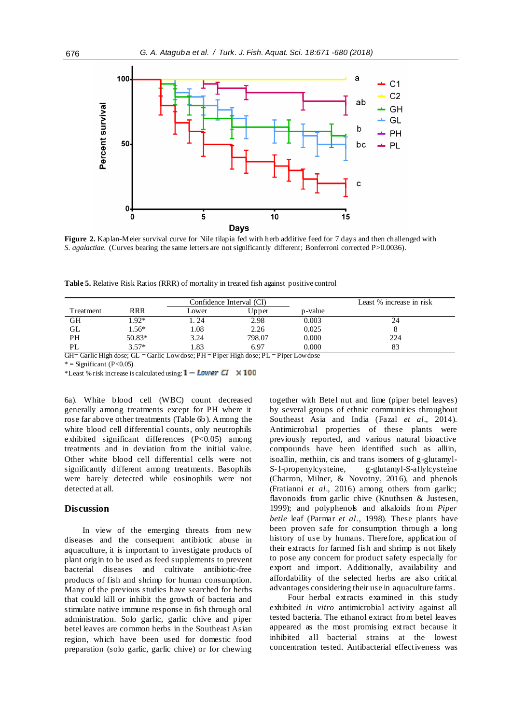

**Figure 2.** Kaplan-Meier survival curve for Nile tilapia fed with herb additive feed for 7 days and then challenged with *S. agalactiae*. (Curves bearing the same letters are not significantly different; Bonferroni corrected P>0.0036).

**Table 5.** Relative Risk Ratios (RRR) of mortality in treated fish against positive control

|           |            |       | Confidence Interval (CI) |         | Least % increase in risk |
|-----------|------------|-------|--------------------------|---------|--------------------------|
| Treatment | <b>RRR</b> | Lower | Upper                    | p-value |                          |
| GH        | $.92*$     | . 24  | 2.98                     | 0.003   | 24                       |
| GL        | $.56*$     | 0.08  | 2.26                     | 0.025   |                          |
| PH        | $50.83*$   | 3.24  | 798.07                   | 0.000   | 224                      |
| PL        | $3.57*$    | .83   | 6.97                     | 0.000   |                          |

GH= Garlic High dose; GL = Garlic Low dose; PH = Piper High dose; PL = Piper Low dose

 $*$  = Significant (P<0.05)

\*Least % risk increase is calculated using:  $1 - Lower \ CI \ \times 100$ 

6a). White blood cell (WBC) count decreased generally among treatments except for PH where it rose far above other treatments (Table 6b). Among the white blood cell differential counts, only neutrophils exhibited significant differences (P<0.05) among treatments and in deviation from the initial value. Other white blood cell differential cells were not significantly different among treatments. Basophils were barely detected while eosinophils were not detected at all.

#### **Discussion**

In view of the emerging threats from new diseases and the consequent antibiotic abuse in aquaculture, it is important to investigate products of plant origin to be used as feed supplements to prevent bacterial diseases and cultivate antibiotic-free products of fish and shrimp for human consumption. Many of the previous studies have searched for herbs that could kill or inhibit the growth of bacteria and stimulate native immune response in fish through oral administration. Solo garlic, garlic chive and piper betel leaves are common herbs in the Southeast Asian region, which have been used for domestic food preparation (solo garlic, garlic chive) or for chewing

together with Betel nut and lime (piper betel leaves) by several groups of ethnic communities throughout Southeast Asia and India [\(Fazal](#page-8-13) *et al*., 2014). Antimicrobial properties of these plants were previously reported, and various natural bioactive compounds have been identified such as alliin, isoallin, methiin, cis and trans isomers of g-glutamyl-S-1-propenylcysteine, g-glutamyl-S-allylcysteine [\(Charron, Milner, & Novotny, 2016\)](#page-7-6), and phenols [\(Fratianni](#page-8-14) *et al*., 2016) among others from garlic; flavonoids from garlic chive [\(Knuthsen & Justesen,](#page-8-15)  [1999\)](#page-8-15); and polyphenols and alkaloids from *Piper betle* leaf [\(Parmar](#page-8-16) *et al*., 1998). These plants have been proven safe for consumption through a long history of use by humans. Therefore, application of their extracts for farmed fish and shrimp is not likely to pose any concern for product safety especially for export and import. Additionally, availability and affordability of the selected herbs are also critical advantages considering their use in aquaculture farms.

Four herbal extracts examined in this study exhibited *in vitro* antimicrobial activity against all tested bacteria. The ethanol extract from betel leaves appeared as the most promising extract because it inhibited all bacterial strains at the lowest concentration tested. Antibacterial effectiveness was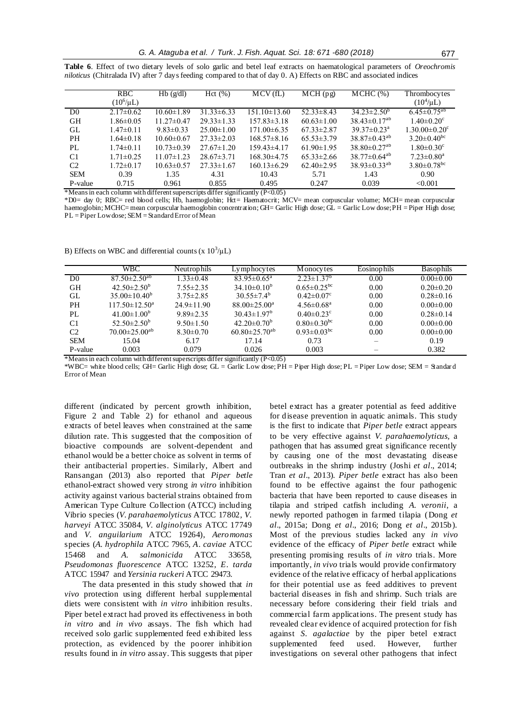|                | <b>RBC</b>      | Hb(g/dl)         | Hct(%)           | MCV(fL)           | $\overline{MCH}$ (pg) | $MCHC$ $(\% )$                 | Thrombocytes                  |
|----------------|-----------------|------------------|------------------|-------------------|-----------------------|--------------------------------|-------------------------------|
|                | $(10^6/\mu L)$  |                  |                  |                   |                       |                                | $(10^4/\mu L)$                |
| D <sub>0</sub> | $2.17\pm0.62$   | $10.60 \pm 1.89$ | $31.33 \pm 6.33$ | $151.10\pm13.60$  | $52.33 \pm 8.43$      | $34.23 \pm 2.50^b$             | $6.45 \pm 0.75^{ab}$          |
| <b>GH</b>      | $1.86 \pm 0.05$ | $11.27 \pm 0.47$ | $29.33 \pm 1.33$ | $157.83 \pm 3.18$ | $60.63 \pm 1.00$      | $38.43 \pm 0.17^{ab}$          | $1.40 \pm 0.20$ <sup>c</sup>  |
| GL             | $1.47 \pm 0.11$ | $9.83 \pm 0.33$  | $25.00 \pm 1.00$ | $171.00\pm 6.35$  | $67.33 \pm 2.87$      | $39.37\pm0.23^{\rm a}$         | $1.30.00 \pm 0.20^{\circ}$    |
| PH             | $1.64 \pm 0.18$ | $10.60 \pm 0.67$ | $27.33 \pm 2.03$ | $168.57\pm8.16$   | $65.53 \pm 3.79$      | $38.87 \pm 0.43^{ab}$          | $3.20 \pm 0.40^{\rm bc}$      |
| PL             | $1.74 \pm 0.11$ | $10.73 \pm 0.39$ | $27.67 \pm 1.20$ | $159.43\pm4.17$   | $61.90 \pm 1.95$      | $38.80 \pm 0.27$ <sup>ab</sup> | $1.80 \pm 0.30$ <sup>c</sup>  |
| C <sub>1</sub> | $1.71 \pm 0.25$ | $11.07 \pm 1.23$ | $28.67 \pm 3.71$ | $168.30\pm4.75$   | $65.33 \pm 2.66$      | $38.77 \pm 0.64^{ab}$          | $7.23 \pm 0.80$ <sup>a</sup>  |
| C <sub>2</sub> | $1.72 \pm 0.17$ | $10.63 \pm 0.57$ | $27.33 \pm 1.67$ | $160.13\pm 6.29$  | $62.40 \pm 2.95$      | $38.93 \pm 0.33^{ab}$          | $3.80 \pm 0.78$ <sup>bc</sup> |
| <b>SEM</b>     | 0.39            | 1.35             | 4.31             | 10.43             | 5.71                  | 1.43                           | 0.90                          |
| P-value        | 0.715           | 0.961            | 0.855            | 0.495             | 0.247                 | 0.039                          | < 0.001                       |

**Table 6**. Effect of two dietary levels of solo garlic and betel leaf extracts on haematological parameters of *Oreochromis niloticus* (Chitralada IV) after 7 days feeding compared to that of day 0. A) Effects on RBC and associated indices

\*Means in each column with different superscripts differ significantly (P<0.05)

\*D0= day 0; RBC= red blood cells; Hb, haemoglobin; Hct= Haematocrit; MCV= mean corpuscular volume; MCH= mean corpuscular haemoglobin; MCHC= mean corpuscular haemoglobin concentration; GH= Garlic High dose; GL = Garlic Low dose; PH = Piper High dose; PL = Piper Low dose; SEM = Standard Error of Mean

B) Effects on WBC and differential counts (x  $10^3/\mu L$ )

|                | WBC .                           | <b>Neutrophils</b> | Lymphocytes                     | M onocytes                    | Eosinophils | <b>Basophils</b> |
|----------------|---------------------------------|--------------------|---------------------------------|-------------------------------|-------------|------------------|
| D <sub>0</sub> | $87.50 \pm 2.50$ <sup>ab</sup>  | $1.33 \pm 0.48$    | $83.95 \pm 0.65^{\text{a}}$     | $2.23 \pm 1.37^b$             | 0.00        | $0.00 \pm 0.00$  |
| <b>GH</b>      | $42.50 \pm 2.50^{\circ}$        | $7.55 \pm 2.35$    | $34.10\pm0.10^b$                | $0.65 \pm 0.25$ <sup>bc</sup> | 0.00        | $0.20 \pm 0.20$  |
| GL             | $35.00 \pm 10.40^b$             | $3.75 \pm 2.85$    | $30.55 \pm 7.4^b$               | $0.42 \pm 0.07$ °             | 0.00        | $0.28 \pm 0.16$  |
| <b>PH</b>      | $117.50 \pm 12.50^{\mathrm{a}}$ | $24.9 \pm 11.90$   | $88.00 \pm 25.00^a$             | $4.56 \pm 0.68$ <sup>a</sup>  | 0.00        | $0.00 \pm 0.00$  |
| PL             | $41.00 \pm 1.00^b$              | $9.89 \pm 2.35$    | $30.43 \pm 1.97^b$              | $0.40 \pm 0.23$ °             | 0.00        | $0.28 \pm 0.14$  |
| C <sub>1</sub> | 52.50 $\pm$ 2.50 <sup>b</sup>   | $9.50 \pm 1.50$    | $42.20 \pm 0.70^{\circ}$        | $0.80 \pm 0.30$ <sup>bc</sup> | 0.00        | $0.00 \pm 0.00$  |
| C <sub>2</sub> | $70.00 \pm 25.00^{ab}$          | $8.30 \pm 0.70$    | 60.80 $\pm$ 25.70 <sup>ab</sup> | $0.93 \pm 0.03$ <sup>bc</sup> | 0.00        | $0.00 \pm 0.00$  |
| <b>SEM</b>     | 15.04                           | 6.17               | 17.14                           | 0.73                          |             | 0.19             |
| P-value        | 0.003                           | 0.079              | 0.026                           | 0.003                         |             | 0.382            |
|                |                                 |                    |                                 |                               |             |                  |

\*Means in each column with different superscripts differ significantly (P<0.05)

\*WBC= white blood cells; GH= Garlic High dose; GL = Garlic Low dose; PH = Piper High dose; PL = Piper Low dose; SEM = Standar d Error of Mean

different (indicated by percent growth inhibition, Figure 2 and Table 2) for ethanol and aqueous extracts of betel leaves when constrained at the same dilution rate. This suggested that the composition of bioactive compounds are solvent-dependent and ethanol would be a better choice as solvent in terms of their antibacterial properties. Similarly, [Albert and](#page-7-7)  [Ransangan \(2013\)](#page-7-7) also reported that *Piper betle* ethanol-extract showed very strong *in vitro* inhibition activity against various bacterial strains obtained from American Type Culture Collection (ATCC) including Vibrio species (*V. parahaemolyticus* ATCC 17802*, V. harveyi* ATCC 35084*, V. alginolyticus* ATCC 17749 and *V. anguilarium* ATCC 19264), *Aeromonas* species (*A. hydrophila* ATCC 7965*, A. caviae* ATCC 15468 and *A. salmonicida* ATCC 33658, *Pseudomonas fluorescence* ATCC 13252, *E. tarda* ATCC 15947 and *Yersinia ruckeri* ATCC 29473.

The data presented in this study showed that *in vivo* protection using different herbal supplemental diets were consistent with *in vitro* inhibition results. Piper betel extract had proved its effectiveness in both *in vitro* and *in vivo* assays. The fish which had received solo garlic supplemented feed exhibited less protection, as evidenced by the poorer inhibition results found in *in vitro* assay. This suggests that piper betel extract has a greater potential as feed additive for disease prevention in aquatic animals. This study is the first to indicate that *Piper betle* extract appears to be very effective against *V. parahaemolyticus,* a pathogen that has assumed great significance recently by causing one of the most devastating disease outbreaks in the shrimp industry (Joshi *et al*[., 2014;](#page-8-2) Tran *et al*[., 2013\)](#page-8-4). *Piper betle* extract has also been found to be effective against the four pathogenic bacteria that have been reported to cause diseases in tilapia and striped catfish including *A. veronii*, a newly reported pathogen in farmed tilapia [\(Dong](#page-8-0) *et al*[., 2015a](#page-8-0); Dong *et al*[., 2016;](#page-8-9) Dong *et al*[., 2015b](#page-8-1)). Most of the previous studies lacked any *in vivo* evidence of the efficacy of *Piper betle* extract while presenting promising results of *in vitro* trials. More importantly, *in vivo* trials would provide confirmatory evidence of the relative efficacy of herbal applications for their potential use as feed additives to prevent bacterial diseases in fish and shrimp. Such trials are necessary before considering their field trials and commercial farm applications. The present study has revealed clear evidence of acquired protection for fish against *S. agalactiae* by the piper betel extract supplemented feed used. However, further investigations on several other pathogens that infect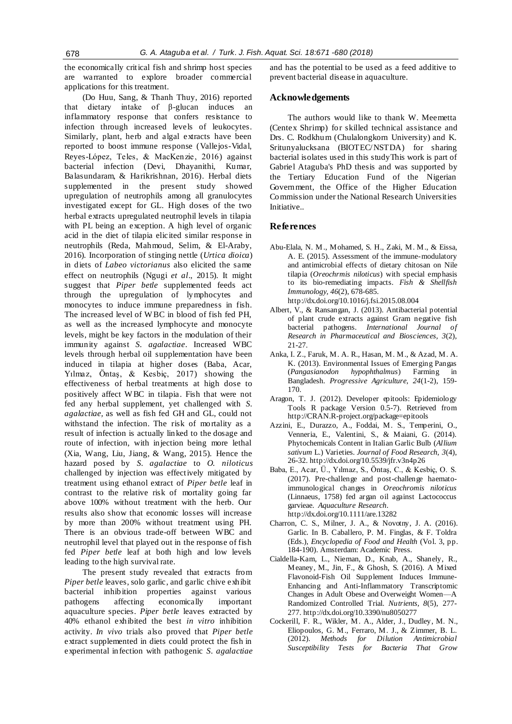the economically critical fish and shrimp host species are warranted to explore broader commercial applications for this treatment.

[\(Do Huu, Sang, & Thanh Thuy, 2016\)](#page-8-17) reported that dietary intake of β-glucan induces an inflammatory response that confers resistance to infection through increased levels of leukocytes. Similarly, plant, herb and algal extracts have been reported to boost immune response [\(Vallejos-Vidal,](#page-9-2)  [Reyes-López, Teles, & MacKenzie, 2016\)](#page-9-2) against bacterial infection [\(Devi, Dhayanithi, Kumar,](#page-8-18)  [Balasundaram, & Harikrishnan, 2016\)](#page-8-18). Herbal diets supplemented in the present study showed upregulation of neutrophils among all granulocytes investigated except for GL. High doses of the two herbal extracts upregulated neutrophil levels in tilapia with PL being an exception. A high level of organic acid in the diet of tilapia elicited similar response in neutrophils [\(Reda, Mahmoud, Selim, & El-Araby,](#page-8-19)  [2016\).](#page-8-19) Incorporation of stinging nettle (*Urtica dioica*) in diets of *Labeo victorianus* also elicited the same effect on neutrophils (Ngugi *et al*[., 2015\)](#page-8-20). It might suggest that *Piper betle* supplemented feeds act through the upregulation of lymphocytes and monocytes to induce immune preparedness in fish. The increased level of W BC in blood of fish fed PH, as well as the increased lymphocyte and monocyte levels, might be key factors in the modulation of their immunity against *S. agalactiae*. Increased WBC levels through herbal oil supplementation have been induced in tilapia at higher doses [\(Baba, Acar,](#page-7-8)  [Yılmaz, Öntaş, & Kesbiç, 2017\)](#page-7-8) showing the effectiveness of herbal treatments at high dose to positively affect W BC in tilapia. Fish that were not fed any herbal supplement, yet challenged with *S. agalactiae,* as well as fish fed GH and GL, could not withstand the infection. The risk of mortality as a result of infection is actually linked to the dosage and route of infection, with injection being more lethal [\(Xia, Wang, Liu, Jiang, & Wang, 2015\)](#page-9-3). Hence the hazard posed by *S. agalactiae* to *O. niloticus* challenged by injection was effectively mitigated by treatment using ethanol extract of *Piper betle* leaf in contrast to the relative risk of mortality going far above 100% without treatment with the herb. Our results also show that economic losses will increase by more than 200% without treatment using PH. There is an obvious trade-off between WBC and neutrophil level that played out in the response of fish fed *Piper betle* leaf at both high and low levels leading to the high survival rate.

The present study revealed that extracts from *Piper betle* leaves, solo garlic, and garlic chive exhibit bacterial inhibition properties against various pathogens affecting economically important aquaculture species. *Piper betle* leaves extracted by 40% ethanol exhibited the best *in vitro* inhibition activity. *In vivo* trials also proved that *Piper betle* extract supplemented in diets could protect the fish in experimental infection with pathogenic *S. agalactiae* and has the potential to be used as a feed additive to prevent bacterial disease in aquaculture.

# **Acknowledgements**

The authors would like to thank W. Meemetta (Centex Shrimp) for skilled technical assistance and Drs. C. Rodkhum (Chulalongkorn University) and K. Sritunyalucksana (BIOTEC/NSTDA) for sharing bacterial isolates used in this studyThis work is part of Gabriel Ataguba's PhD thesis and was supported by the Tertiary Education Fund of the Nigerian Government, the Office of the Higher Education Commission under the National Research Universities Initiative..

#### **References**

- <span id="page-7-1"></span>Abu-Elala, N. M., Mohamed, S. H., Zaki, M. M., & Eissa, A. E. (2015). Assessment of the immune-modulatory and antimicrobial effects of dietary chitosan on Nile tilapia (*Oreochrmis niloticus*) with special emphasis to its bio-remediating impacts. *Fish & Shellfish Immunology, 46*(2), 678-685. http://dx.doi.org/10.1016/j.fsi.2015.08.004
- <span id="page-7-7"></span>Albert, V., & Ransangan, J. (2013). Antibacterial potential of plant crude extracts against Gram negative fish bacterial pathogens. *International Journal of Research in Pharmaceutical and Biosciences, 3*(2), 21-27.
- <span id="page-7-0"></span>Anka, I. Z., Faruk, M. A. R., Hasan, M. M., & Azad, M. A. K. (2013). Environmental Issues of Emerging Pangas (Pangasianodon hypophthalmus) Farming in *hypophthalmus*) Bangladesh. *Progressive Agriculture, 24*(1-2), 159- 170.
- <span id="page-7-5"></span>Aragon, T. J. (2012). Developer epitools: Epidemiology Tools R package Version 0.5-7). Retrieved from http://CRAN.R-project.org/package=epitools
- <span id="page-7-2"></span>Azzini, E., Durazzo, A., Foddai, M. S., Temperini, O., Venneria, E., Valentini, S., & Maiani, G. (2014). Phytochemicals Content in Italian Garlic Bulb (*Allium sativum* L.) Varieties. *Journal of Food Research, 3*(4), 26-32. http://dx.doi.org/10.5539/jfr.v3n4p26
- <span id="page-7-8"></span>Baba, E., Acar, Ü., Yılmaz, S., Öntaş, C., & Kesbiç, O. S. (2017). Pre-challenge and post-challenge haematoimmunological changes in *Oreochromis niloticus* (Linnaeus, 1758) fed argan oil against Lactococcus garvieae. *Aquaculture Research*. http://dx.doi.org/10.1111/are.13282
- <span id="page-7-6"></span>Charron, C. S., Milner, J. A., & Novotny, J. A. (2016). Garlic. In B. Caballero, P. M. Finglas, & F. Toldra (Eds.), *Encyclopedia of Food and Health* (Vol. 3, pp. 184-190). Amsterdam: Academic Press.
- <span id="page-7-3"></span>Cialdella-Kam, L., Nieman, D., Knab, A., Shanely, R., Meaney, M., Jin, F., & Ghosh, S. (2016). A Mixed Flavonoid-Fish Oil Supplement Induces Immune-Enhancing and Anti-Inflammatory Transcriptomic Changes in Adult Obese and Overweight Women—A Randomized Controlled Trial. *Nutrients, 8*(5), 277- 277. http://dx.doi.org/10.3390/nu8050277
- <span id="page-7-4"></span>Cockerill, F. R., Wikler, M. A., Alder, J., Dudley, M. N., Eliopoulos, G. M., Ferraro, M. J., & Zimmer, B. L. (2012). *Methods for Dilution Antimicrobial Susceptibility Tests for Bacteria That Grow*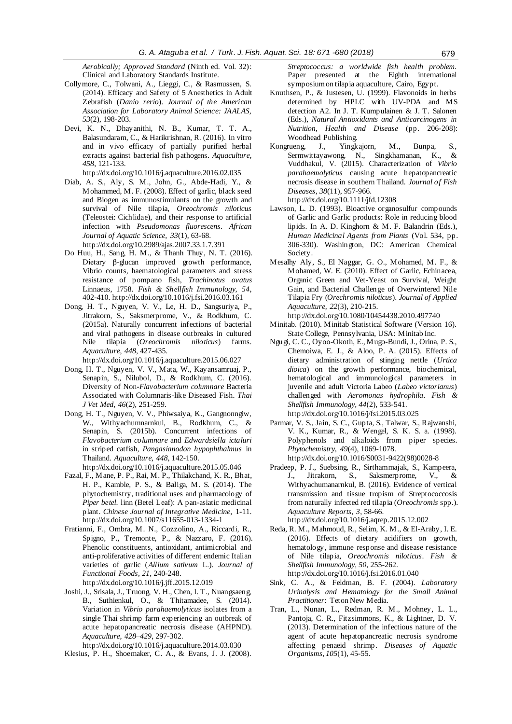*Aerobically; Approved Standard* (Ninth ed. Vol. 32): Clinical and Laboratory Standards Institute.

- <span id="page-8-10"></span>Collymore, C., Tolwani, A., Lieggi, C., & Rasmussen, S. (2014). Efficacy and Safety of 5 Anesthetics in Adult Zebrafish (*Danio rerio*). *Journal of the American Association for Laboratory Animal Science: JAALAS, 53*(2), 198-203.
- <span id="page-8-18"></span>Devi, K. N., Dhayanithi, N. B., Kumar, T. T. A., Balasundaram, C., & Harikrishnan, R. (2016). In vitro and in vivo efficacy of partially purified herbal extracts against bacterial fish pathogens. *Aquaculture, 458*, 121-133.

http://dx.doi.org/10.1016/j.aquaculture.2016.02.035

- <span id="page-8-7"></span>Diab, A. S., Aly, S. M., John, G., Abde-Hadi, Y., & Mohammed, M. F. (2008). Effect of garlic, black seed and Biogen as immunostimulants on the growth and survival of Nile tilapia, *Oreochromis niloticus* (Teleostei: Cichlidae), and their response to artificial infection with *Pseudomonas fluorescens*. *African Journal of Aquatic Science, 33*(1), 63-68. http://dx.doi.org/10.2989/ajas.2007.33.1.7.391
- <span id="page-8-17"></span>Do Huu, H., Sang, H. M., & Thanh Thuy, N. T. (2016). Dietary β-glucan improved growth performance, Vibrio counts, haematological parameters and stress resistance of pompano fish, *Trachinotus ovatus* Linnaeus, 1758. *Fish & Shellfish Immunology, 54*, 402-410. http://dx.doi.org/10.1016/j.fsi.2016.03.161
- <span id="page-8-0"></span>Dong, H. T., Nguyen, V. V., Le, H. D., Sangsuriya, P., Jitrakorn, S., Saksmerprome, V., & Rodkhum, C. (2015a). Naturally concurrent infections of bacterial and viral pathogens in disease outbreaks in cultured<br>Nile tilapia (Oreochromis niloticus) farms. Nile tilapia (*Oreochromis niloticus*) farms. *Aquaculture, 448*, 427-435.

http://dx.doi.org/10.1016/j.aquaculture.2015.06.027

- <span id="page-8-9"></span>Dong, H. T., Nguyen, V. V., Mata, W., Kayansamruaj, P., Senapin, S., Nilubol, D., & Rodkhum, C. (2016). Diversity of Non-*Flavobacterium columnare* Bacteria Associated with Columnaris-like Diseased Fish. *Thai J Vet Med, 46*(2), 251-259.
- <span id="page-8-1"></span>Dong, H. T., Nguyen, V. V., Phiwsaiya, K., Gangnonngiw, W., Withyachumnarnkul, B., Rodkhum, C., & Senapin, S. (2015b). Concurrent infections of *Flavobacterium columnare* and *Edwardsiella ictaluri* in striped catfish, *Pangasianodon hypophthalmus* in Thailand. *Aquaculture, 448*, 142-150.
- http://dx.doi.org/10.1016/j.aquaculture.2015.05.046 Fazal, F., Mane, P. P., Rai, M. P., Thilakchand, K. R., Bhat,
- <span id="page-8-13"></span>H. P., Kamble, P. S., & Baliga, M. S. (2014). The phytochemistry, traditional uses and pharmacology of *Piper betel*. linn (Betel Leaf): A pan-asiatic medicinal plant. *Chinese Journal of Integrative Medicine*, 1-11. http://dx.doi.org/10.1007/s11655-013-1334-1
- <span id="page-8-14"></span>Fratianni, F., Ombra, M. N., Cozzolino, A., Riccardi, R., Spigno, P., Tremonte, P., & Nazzaro, F. (2016). Phenolic constituents, antioxidant, antimicrobial and anti-proliferative activities of different endemic Italian varieties of garlic (*Allium sativum* L.). *Journal of Functional Foods, 21*, 240-248. http://dx.doi.org/10.1016/j.jff.2015.12.019
- <span id="page-8-2"></span>Joshi, J., Srisala, J., Truong, V. H., Chen, I. T., Nuangsaeng, B., Suthienkul, O., & Thitamadee, S. (2014). Variation in *Vibrio parahaemolyticus* isolates from a single Thai shrimp farm experiencing an outbreak of acute hepatopancreatic necrosis disease (AHPND). *Aquaculture, 428–429*, 297-302.

http://dx.doi.org/10.1016/j.aquaculture.2014.03.030

<span id="page-8-6"></span>Klesius, P. H., Shoemaker, C. A., & Evans, J. J. (2008).

*Streptococcus: a worldwide fish health problem.* Paper presented at the Eighth international symposium on tilapia aquaculture, Cairo, Egypt.

- <span id="page-8-15"></span>Knuthsen, P., & Justesen, U. (1999). Flavonoids in herbs determined by HPLC with UV-PDA and MS detection A2. In J. T. Kumpulainen & J. T. Salonen (Eds.), *Natural Antioxidants and Anticarcinogens in Nutrition, Health and Disease* (pp. 206-208): Woodhead Publishing.
- <span id="page-8-3"></span>Kongrueng, J., Yingkajorn, M., Bunpa, S., Sermwittayawong, N., Singkhamanan, K., & Vuddhakul, V. (2015). Characterization of *Vibrio parahaemolyticus* causing acute hepatopancreatic necrosis disease in southern Thailand. *Journal of Fish Diseases, 38*(11), 957-966. http://dx.doi.org/10.1111/jfd.12308
- Lawson, L. D. (1993). Bioactive organosulfur compounds of Garlic and Garlic products: Role in reducing blood lipids. In A. D. Kinghorn & M. F. Balandrin (Eds.), *Human Medicinal Agents from Plants* (Vol. 534, pp. 306-330). Washington, DC: American Chemical Society.
- <span id="page-8-8"></span>Mesalhy Aly, S., El Naggar, G. O., Mohamed, M. F., & Mohamed, W. E. (2010). Effect of Garlic, Echinacea, Organic Green and Vet-Yeast on Survival, Weight Gain, and Bacterial Challenge of Overwintered Nile Tilapia Fry (*Orechromis niloticus*). *Journal of Applied Aquaculture, 22*(3), 210-215.
	- http://dx.doi.org/10.1080/10454438.2010.497740
- <span id="page-8-12"></span>Minitab. (2010). Minitab Statistical Software (Version 16). State College, Pennsylvania, USA: Minitab Inc.
- <span id="page-8-20"></span>Ngugi, C. C., Oyoo-Okoth, E., Mugo-Bundi, J., Orina, P. S., Chemoiwa, E. J., & Aloo, P. A. (2015). Effects of dietary administration of stinging nettle (*Urtica dioica*) on the growth performance, biochemical, hematological and immunological parameters in juvenile and adult Victoria Labeo (*Labeo victorianus*) challenged with *Aeromonas hydrophila*. *Fish & Shellfish Immunology, 44*(2), 533-541. http://dx.doi.org/10.1016/j/fsi.2015.03.025
- <span id="page-8-16"></span>Parmar, V. S., Jain, S. C., Gupta, S., Talwar, S., Rajwanshi, V. K., Kumar, R., & Wengel, S. K. S. a. (1998). Polyphenols and alkaloids from piper species. *Phytochemistry, 49*(4), 1069-1078. http://dx.doi.org/10.1016/S0031-9422(98)0028-8
- <span id="page-8-5"></span>Pradeep, P. J., Suebsing, R., Sirthammajak, S., Kampeera, J., Jitrakorn, S., Saksmerprome, V., & Withyachumanarnkul, B. (2016). Evidence of vertical transmission and tissue tropism of Streptococcosis from naturally infected red tilapia (*Oreochromis* spp.). *Aquaculture Reports, 3*, 58-66.

http://dx.doi.org/10.1016/j.aqrep.2015.12.002

- <span id="page-8-19"></span>Reda, R. M., Mahmoud, R., Selim, K. M., & El-Araby, I. E. (2016). Effects of dietary acidifiers on growth, hematology, immune response and disease resistance of Nile tilapia, *Oreochromis niloticus*. *Fish & Shellfish Immunology, 50*, 255-262. http://dx.doi.org/10.1016/j.fsi.2016.01.040
- <span id="page-8-11"></span>Sink, C. A., & Feldman, B. F. (2004). *Laboratory Urinalysis and Hematology for the Small Animal Practitioner*: Teton New Media.
- <span id="page-8-4"></span>Tran, L., Nunan, L., Redman, R. M., Mohney, L. L., Pantoja, C. R., Fitzsimmons, K., & Lightner, D. V. (2013). Determination of the infectious nature of the agent of acute hepatopancreatic necrosis syndrome affecting penaeid shrimp. *Diseases of Aquatic Organisms, 105*(1), 45-55.